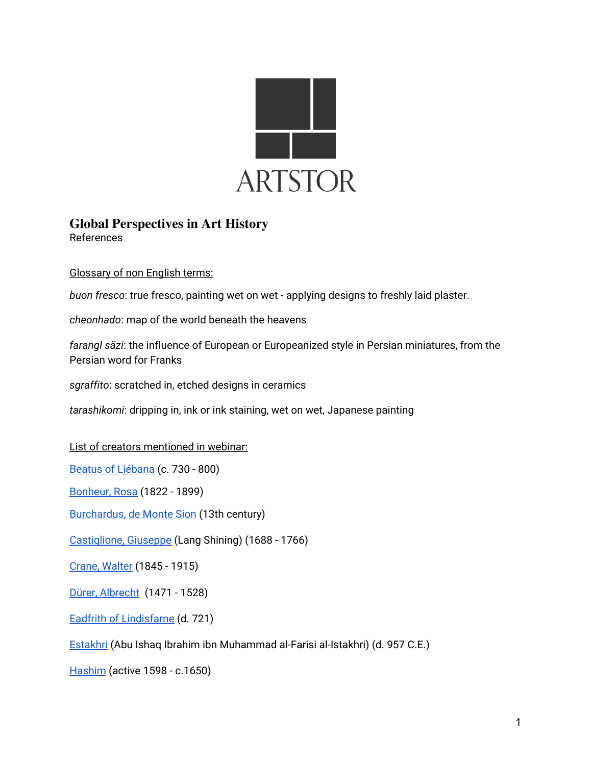

## **Global Perspectives in Art History** References

Glossary of non English terms:

*buon fresco*: true fresco, painting wet on wet - applying designs to freshly laid plaster.

*cheonhado*: map of the world beneath the heavens

*farangl säzi*: the influence of European or Europeanized style in Persian miniatures, from the Persian word for Franks

*sgraffito*: scratched in, etched designs in ceramics

*tarashikomi*: dripping in, ink or ink staining, wet on wet, Japanese painting

List of creators mentioned in webinar:

Beatus of [Liébana](https://library.artstor.org/#/search/Beatus%20of%20Li%C3%A9bana;page=1;size=48) (c. 730 - 800)

[Bonheur,](https://library.artstor.org/#/search/artcreator:(Rosa)%20AND%20artcreator:(Bonheur);size=48;page=1;sort=0) Rosa (1822 - 1899)

[Burchardus,](https://library.artstor.org/#/search/artcreator:(Burchardus)) de Monte Sion (13th century)

[Castiglione,](https://library.artstor.org/#/search/artcreator:(Castiglione)%20AND%20artcreator:(Giuseppe)) Giuseppe (Lang Shining) (1688 - 1766)

Crane, [Walter](https://library.artstor.org/#/search/artcreator:(Walter)%20AND%20artcreator:(Crane)) (1845 - 1915)

Dürer, [Albrecht](https://library.artstor.org/#/search/artcreator:(Albrecht)%20AND%20artcreator:(Durer)) (1471 - 1528)

Eadfrith of [Lindisfarne](https://library.artstor.org/#/search/artcreator:(Eadfrith)%20AND%20artcreator:(Lindisfarne)) (d. 721)

[Estakhri](https://library.artstor.org/#/asset/ARTSTOR_103_41822000295038;prevRouteTS=1597165986729;groupId=0f591716-657f-4cbf-9ef0-e0441b5b732e) (Abu Ishaq Ibrahim ibn Muhammad al-Farisi al-Istakhri) (d. 957 C.E.)

[Hashim](https://library.artstor.org/#/search/artcreator:(Hashim);page=1;size=48) (active 1598 - c.1650)